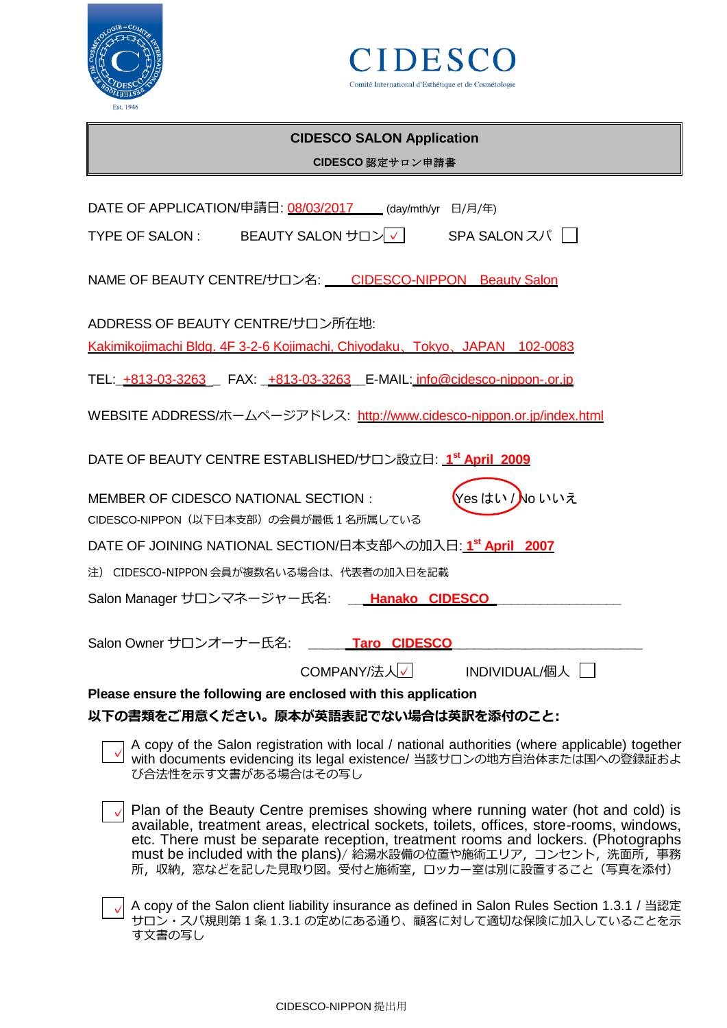



| Est. 1946                                                                                                                                                                                                                                                                                                                                                                            |
|--------------------------------------------------------------------------------------------------------------------------------------------------------------------------------------------------------------------------------------------------------------------------------------------------------------------------------------------------------------------------------------|
| <b>CIDESCO SALON Application</b>                                                                                                                                                                                                                                                                                                                                                     |
| CIDESCO 認定サロン申請書                                                                                                                                                                                                                                                                                                                                                                     |
|                                                                                                                                                                                                                                                                                                                                                                                      |
| DATE OF APPLICATION/申請日: 08/03/2017 __ (day/mth/yr 日/月/年)                                                                                                                                                                                                                                                                                                                            |
|                                                                                                                                                                                                                                                                                                                                                                                      |
| NAME OF BEAUTY CENTRE/サロン名: CIDESCO-NIPPON Beauty Salon                                                                                                                                                                                                                                                                                                                              |
| ADDRESS OF BEAUTY CENTRE/サロン所在地:                                                                                                                                                                                                                                                                                                                                                     |
| Kakimikojimachi Bldg. 4F 3-2-6 Kojimachi, Chiyodaku, Tokyo, JAPAN 102-0083                                                                                                                                                                                                                                                                                                           |
| TEL: +813-03-3263 FAX: +813-03-3263 E-MAIL: info@cidesco-nippon-.or.jp                                                                                                                                                                                                                                                                                                               |
| WEBSITE ADDRESS/ホームページアドレス: http://www.cidesco-nippon.or.jp/index.html                                                                                                                                                                                                                                                                                                               |
| DATE OF BEAUTY CENTRE ESTABLISHED/サロン設立日: 1st April 2009                                                                                                                                                                                                                                                                                                                             |
| 【Yes はい / <mark>N</mark> o いいえ<br><b>MEMBER OF CIDESCO NATIONAL SECTION:</b><br>CIDESCO-NIPPON (以下日本支部)の会員が最低1名所属している                                                                                                                                                                                                                                                                |
| DATE OF JOINING NATIONAL SECTION/日本支部への加入日: 1st April 2007                                                                                                                                                                                                                                                                                                                           |
| 注) CIDESCO-NIPPON 会員が複数名いる場合は、代表者の加入日を記載                                                                                                                                                                                                                                                                                                                                             |
| Salon Manager サロンマネージャー氏名: __ Hanako CIDESCO                                                                                                                                                                                                                                                                                                                                         |
|                                                                                                                                                                                                                                                                                                                                                                                      |
| Salon Owner サロンオーナー氏名:<br><b>Taro CIDESCO</b>                                                                                                                                                                                                                                                                                                                                        |
| COMPANY/法人√<br>INDIVIDUAL/個人                                                                                                                                                                                                                                                                                                                                                         |
| Please ensure the following are enclosed with this application                                                                                                                                                                                                                                                                                                                       |
| 以下の書類をご用意ください。原本が英語表記でない場合は英訳を添付のこと:                                                                                                                                                                                                                                                                                                                                                 |
| A copy of the Salon registration with local / national authorities (where applicable) together<br>with documents evidencing its legal existence/ 当該サロンの地方自治体または国への登録証およ<br>び合法性を示す文書がある場合はその写し                                                                                                                                                                                       |
| Plan of the Beauty Centre premises showing where running water (hot and cold) is<br>available, treatment areas, electrical sockets, toilets, offices, store-rooms, windows,<br>etc. There must be separate reception, treatment rooms and lockers. (Photographs<br>must be included with the plans)/ 給湯水設備の位置や施術エリア, コンセント, 洗面所, 事務<br>所、収納、窓などを記した見取り図。受付と施術室、ロッカー室は別に設置すること(写真を添付) |
|                                                                                                                                                                                                                                                                                                                                                                                      |

√ A copy of the Salon client liability insurance as defined in Salon Rules Section 1.3.1 / 当認定 サロン・スパ規則第 1 条 1.3.1 の定めにある通り、顧客に対して適切な保険に加入していることを示 す文書の写し ✓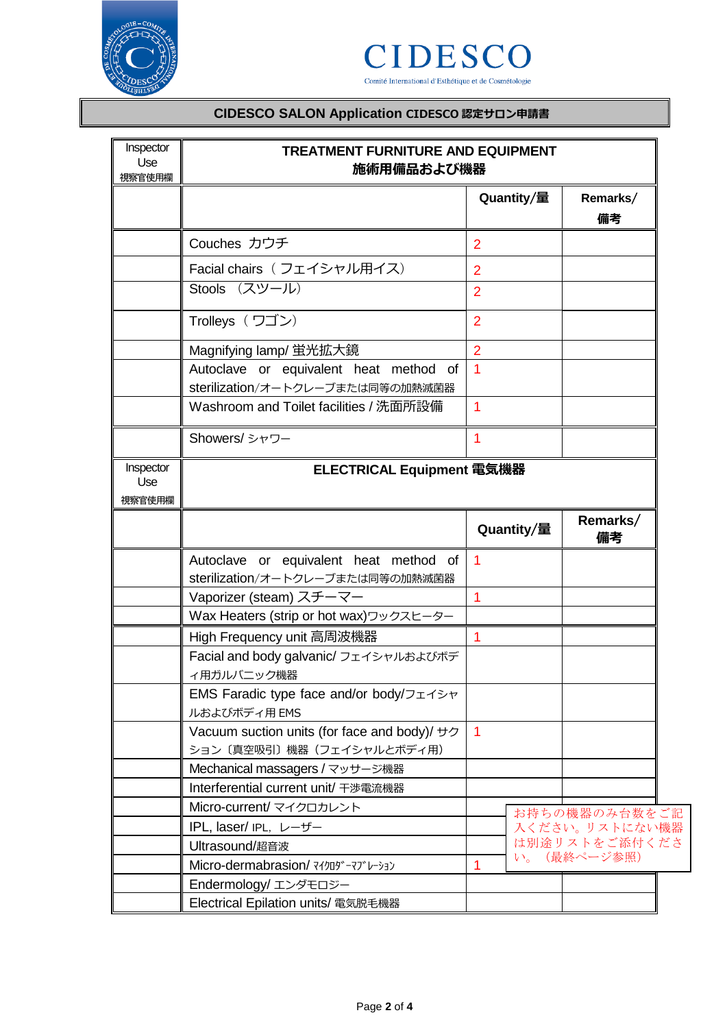



# **CIDESCO SALON Application CIDESCO 認定サロン申請書**

| Inspector<br>Use<br>視察官使用欄 | <b>TREATMENT FURNITURE AND EQUIPMENT</b><br>施術用備品および機器                     |                |                |  |  |
|----------------------------|----------------------------------------------------------------------------|----------------|----------------|--|--|
|                            |                                                                            | Quantity/量     | Remarks/<br>備考 |  |  |
|                            | Couches カウチ                                                                | $\overline{2}$ |                |  |  |
|                            | Facial chairs (フェイシャル用イス)                                                  | $\overline{2}$ |                |  |  |
|                            | Stools (スツール)                                                              | $\overline{2}$ |                |  |  |
|                            | Trolleys (ワゴン)                                                             | $\overline{2}$ |                |  |  |
|                            | Magnifying lamp/ 蛍光拡大鏡                                                     | $\overline{2}$ |                |  |  |
|                            | Autoclave or equivalent heat method of<br>sterilization/オートクレーブまたは同等の加熱滅菌器 | $\overline{1}$ |                |  |  |
|                            | Washroom and Toilet facilities / 洗面所設備                                     | 1              |                |  |  |
|                            | Showers/シャワー                                                               | 1              |                |  |  |
| Inspector<br>Use<br>視察官使用欄 | ELECTRICAL Equipment 電気機器                                                  |                |                |  |  |
|                            |                                                                            | Quantity/量     | Remarks/<br>備考 |  |  |
|                            | Autoclave or equivalent heat method of                                     | $\overline{1}$ |                |  |  |
|                            | sterilization/オートクレーブまたは同等の加熱滅菌器                                           |                |                |  |  |
|                            | Vaporizer (steam) スチーマー                                                    | 1              |                |  |  |
|                            | Wax Heaters (strip or hot wax)ワックスヒーター                                     |                |                |  |  |
|                            | High Frequency unit 高周波機器                                                  | 1              |                |  |  |
|                            | Facial and body galvanic/ フェイシャルおよびボデ<br>ィ用ガルバニック機器                        |                |                |  |  |
|                            | EMS Faradic type face and/or body/フェイシャ<br>ルおよびボディ用 EMS                    |                |                |  |  |
|                            | Vacuum suction units (for face and body)/ +7                               | $\overline{1}$ |                |  |  |
|                            | ション〔真空吸引〕機器(フェイシャルとボディ用)                                                   |                |                |  |  |
|                            | Mechanical massagers / マッサージ機器                                             |                |                |  |  |
|                            | Interferential current unit/ 干渉電流機器                                        |                |                |  |  |
|                            | Micro-current/ マイクロカレント                                                    |                | お持ちの機器のみ台数をご記  |  |  |
|                            | IPL, laser/ IPL, レーザー                                                      |                | 入ください。リストにない機器 |  |  |
|                            | Ultrasound/超音波                                                             |                | は別途リストをご添付くださ  |  |  |
|                            | Micro-dermabrasion/ マイクロダーマブレーション                                          | 1              | い。(最終ページ参照)    |  |  |
|                            | Endermology/ エンダモロジー                                                       |                |                |  |  |
|                            | Electrical Epilation units/ 電気脱毛機器                                         |                |                |  |  |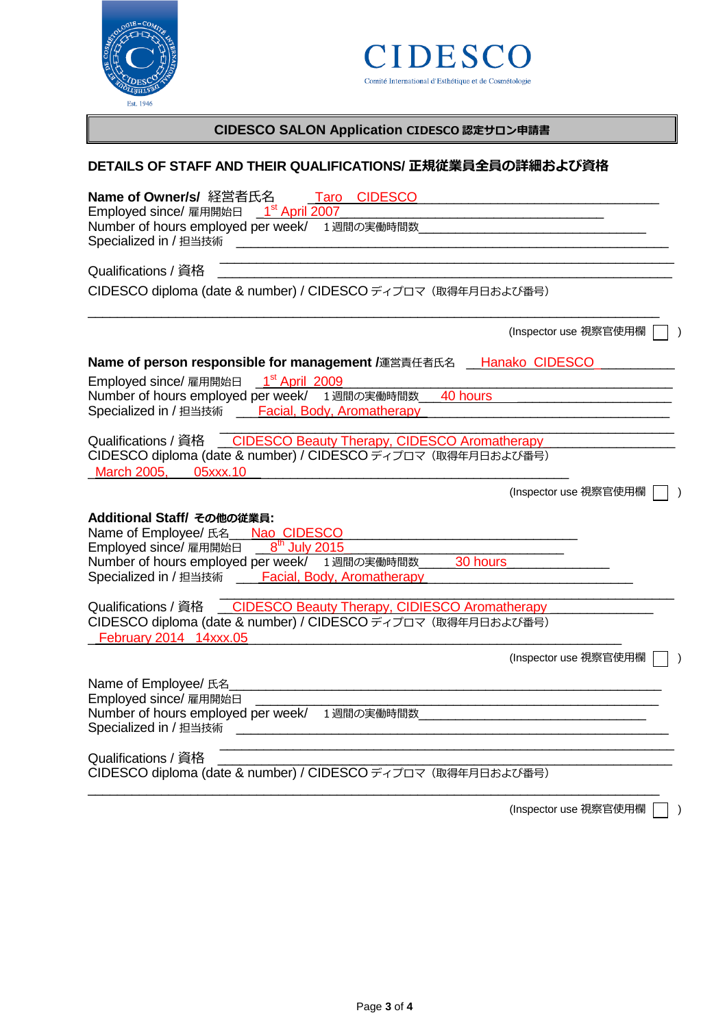



# **CIDESCO SALON Application CIDESCO 認定サロン申請書**

### **DETAILS OF STAFF AND THEIR QUALIFICATIONS/ 正規従業員全員の詳細および資格**

| Name of Owner/s/ 経営者氏名<br>Taro CIDESCO<br>_1 <sup>st</sup> April 2007<br>Employed since/ 雇用開始日<br>Number of hours employed per week/<br>1週間の実働時間数<br>Specialized in / 担当技術                                                     |  |
|--------------------------------------------------------------------------------------------------------------------------------------------------------------------------------------------------------------------------------|--|
| Qualifications / 資格<br>CIDESCO diploma (date & number) / CIDESCO ディプロマ (取得年月日および番号)                                                                                                                                            |  |
| (Inspector use 視察官使用欄                                                                                                                                                                                                          |  |
| Name of person responsible for management /運営責任者氏名 __Hanako CIDESCO                                                                                                                                                            |  |
| Employed since/ 雇用開始日 _ 1st April 2009                                                                                                                                                                                         |  |
| Number of hours employed per week/ 1週間の実働時間数<br>40 hours                                                                                                                                                                       |  |
| Specialized in / 担当技術 ____ Facial, Body, Aromatherapy                                                                                                                                                                          |  |
|                                                                                                                                                                                                                                |  |
| Qualifications / 資格 CIDESCO Beauty Therapy, CIDESCO Aromatherapy<br>CIDESCO diploma (date & number) / CIDESCO ディプロマ (取得年月日および番号)<br>March 2005, 05xxx.10                                                                       |  |
| (Inspector use 視察官使用欄                                                                                                                                                                                                          |  |
| Additional Staff/ その他の従業員:<br>Name of Employee/ 氏名 ___ Nao CIDESCO<br>Employed since/ 雇用開始日 8th July 2015<br>Number of hours employed per week/ 1週間の実働時間数<br>30 hours<br>Specialized in / 担当技術 ____ Facial, Body, Aromatherapy |  |
| Qualifications / 資格 _ CIDESCO Beauty Therapy, CIDIESCO Aromatherapy                                                                                                                                                            |  |
| CIDESCO diploma (date & number) / CIDESCO ディプロマ (取得年月日および番号)<br>February 2014 14xxx.05                                                                                                                                         |  |
| (Inspector use 視察官使用欄                                                                                                                                                                                                          |  |
| Name of Employee/ 氏名<br>Employed since/ 雇用開始日<br>Number of hours employed per week/<br>1週間の実働時間数<br>Specialized in / 担当技術                                                                                                      |  |
| Qualifications / 資格<br>CIDESCO diploma (date & number) / CIDESCO ディプロマ (取得年月日および番号)                                                                                                                                            |  |

(Inspector use 視察官使用欄 | )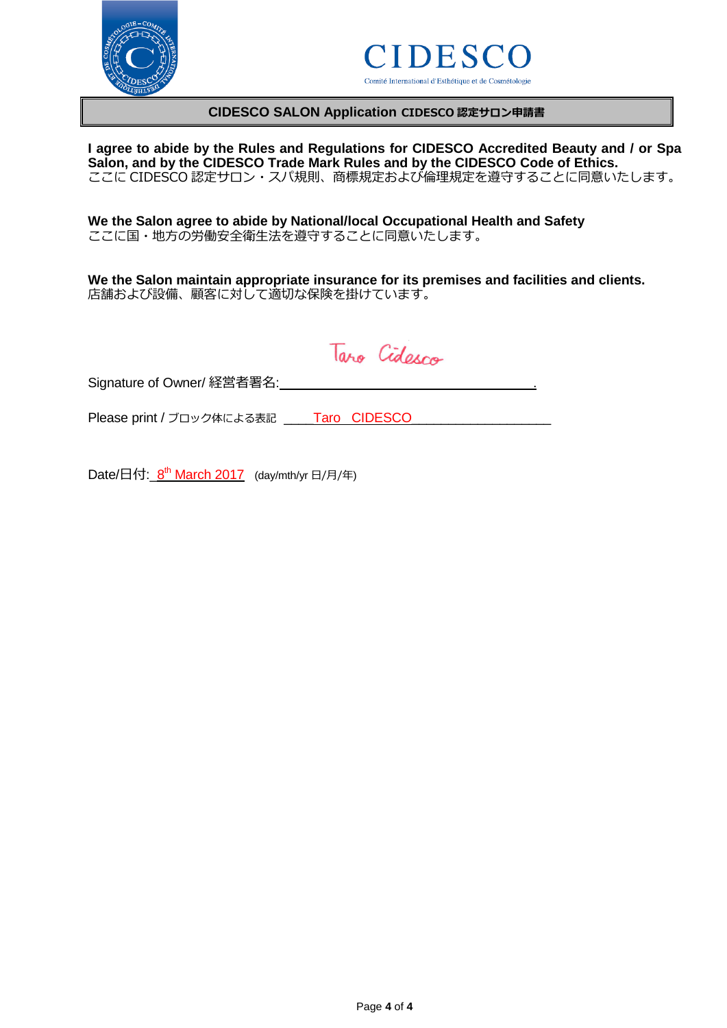



#### **CIDESCO SALON Application CIDESCO 認定サロン申請書**

**I agree to abide by the Rules and Regulations for CIDESCO Accredited Beauty and / or Spa Salon, and by the CIDESCO Trade Mark Rules and by the CIDESCO Code of Ethics.** ここに CIDESCO 認定サロン・スパ規則、商標規定および倫理規定を遵守することに同意いたします。

**We the Salon agree to abide by National/local Occupational Health and Safety** ここに国・地方の労働安全衛生法を遵守することに同意いたします。

**We the Salon maintain appropriate insurance for its premises and facilities and clients.** 店舗および設備、顧客に対して適切な保険を掛けています。

Taro Cidesco

Signature of Owner/ 経営者署名: .

Please print / ブロック体による表記 \_\_\_\_Taro CIDESCO\_\_

Date/日付:\_8<sup>th</sup> March 2017 (day/mth/yr 日/月/年)